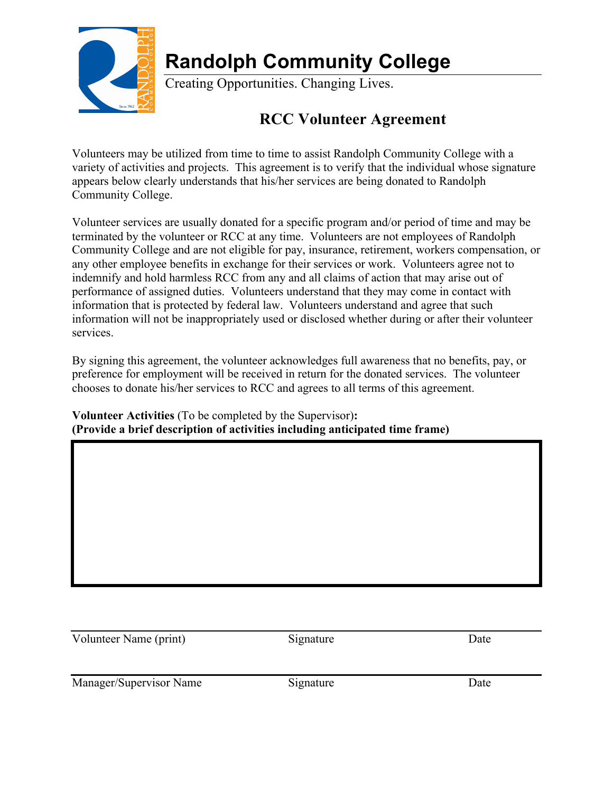

## **Randolph Community College**

Creating Opportunities. Changing Lives.

## **RCC Volunteer Agreement**

Volunteers may be utilized from time to time to assist Randolph Community College with a variety of activities and projects. This agreement is to verify that the individual whose signature appears below clearly understands that his/her services are being donated to Randolph Community College.

Volunteer services are usually donated for a specific program and/or period of time and may be terminated by the volunteer or RCC at any time. Volunteers are not employees of Randolph Community College and are not eligible for pay, insurance, retirement, workers compensation, or any other employee benefits in exchange for their services or work. Volunteers agree not to indemnify and hold harmless RCC from any and all claims of action that may arise out of performance of assigned duties. Volunteers understand that they may come in contact with information that is protected by federal law. Volunteers understand and agree that such information will not be inappropriately used or disclosed whether during or after their volunteer services.

By signing this agreement, the volunteer acknowledges full awareness that no benefits, pay, or preference for employment will be received in return for the donated services. The volunteer chooses to donate his/her services to RCC and agrees to all terms of this agreement.

**Volunteer Activities** (To be completed by the Supervisor)**: (Provide a brief description of activities including anticipated time frame)**

Volunteer Name (print) Signature Date

Manager/Supervisor Name Signature Signature Date